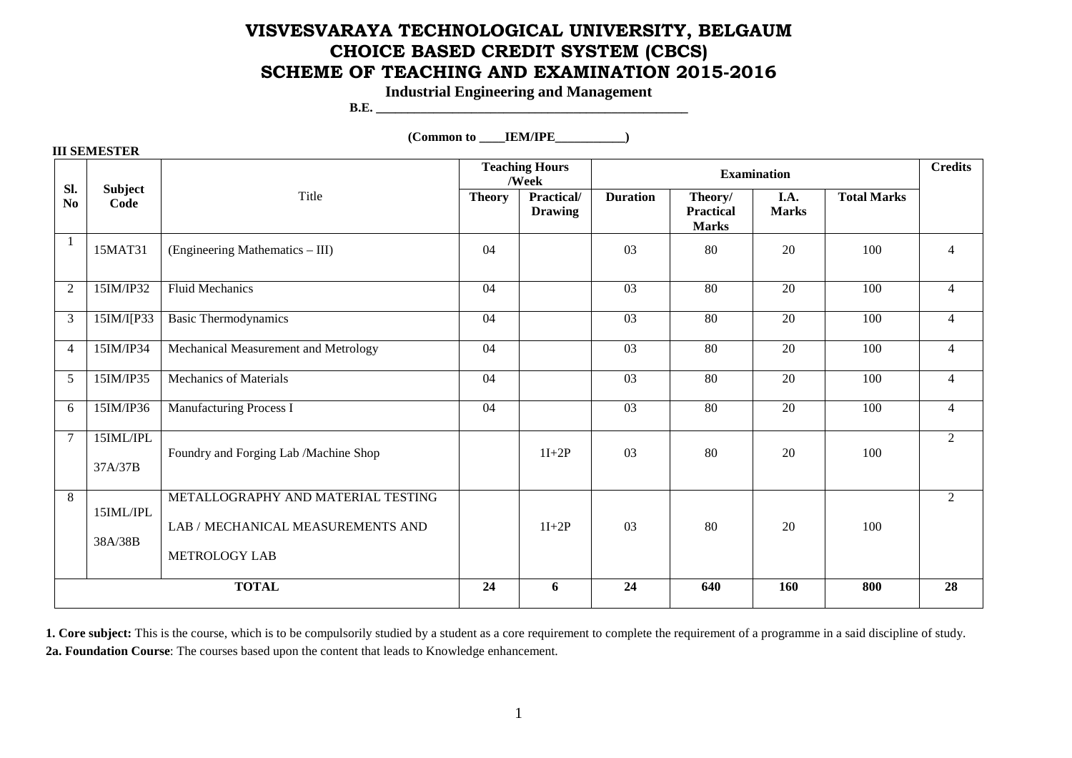# **VISVESVARAYA TECHNOLOGICAL UNIVERSITY, BELGAUM CHOICE BASED CREDIT SYSTEM (CBCS) SCHEME OF TEACHING AND EXAMINATION 2015-2016**

**Industrial Engineering and Management** 

**B.E. \_\_\_\_\_\_\_\_\_\_\_\_\_\_\_\_\_\_\_\_\_\_\_\_\_\_\_\_\_\_\_\_\_\_\_\_\_\_\_\_\_\_\_\_\_\_\_\_\_** 

 $(Common to \tIEM/IPE)$ 

| <b>III SEMESTER</b>   |                        |                                                                                                 |                                |                              |                    |                                             |                      |                    |                |  |
|-----------------------|------------------------|-------------------------------------------------------------------------------------------------|--------------------------------|------------------------------|--------------------|---------------------------------------------|----------------------|--------------------|----------------|--|
|                       | <b>Subject</b><br>Code | Title                                                                                           | <b>Teaching Hours</b><br>/Week |                              | <b>Examination</b> |                                             |                      |                    | <b>Credits</b> |  |
| SI.<br>N <sub>o</sub> |                        |                                                                                                 | <b>Theory</b>                  | Practical/<br><b>Drawing</b> | <b>Duration</b>    | Theory/<br><b>Practical</b><br><b>Marks</b> | I.A.<br><b>Marks</b> | <b>Total Marks</b> |                |  |
|                       | 15MAT31                | (Engineering Mathematics - III)                                                                 | 04                             |                              | 03                 | 80                                          | 20                   | 100                | $\overline{4}$ |  |
| $\overline{2}$        | 15IM/IP32              | <b>Fluid Mechanics</b>                                                                          | $\overline{04}$                |                              | $\overline{03}$    | 80                                          | $\overline{20}$      | 100                | $\overline{4}$ |  |
| 3                     | 15IM/I[P33             | <b>Basic Thermodynamics</b>                                                                     | 04                             |                              | 03                 | 80                                          | 20                   | 100                | $\overline{4}$ |  |
| $\overline{4}$        | 15IM/IP34              | Mechanical Measurement and Metrology                                                            | 04                             |                              | 03                 | 80                                          | 20                   | 100                | $\overline{4}$ |  |
| 5                     | 15IM/IP35              | <b>Mechanics of Materials</b>                                                                   | 04                             |                              | 03                 | 80                                          | 20                   | 100                | $\overline{4}$ |  |
| 6                     | 15IM/IP36              | Manufacturing Process I                                                                         | 04                             |                              | $\overline{03}$    | $\overline{80}$                             | 20                   | 100                | $\overline{4}$ |  |
| $\overline{7}$        | 15IML/IPL<br>37A/37B   | Foundry and Forging Lab /Machine Shop                                                           |                                | $1I+2P$                      | 03                 | 80                                          | 20                   | 100                | 2              |  |
| 8                     | 15IML/IPL<br>38A/38B   | METALLOGRAPHY AND MATERIAL TESTING<br>LAB / MECHANICAL MEASUREMENTS AND<br><b>METROLOGY LAB</b> |                                | $1I+2P$                      | 03                 | 80                                          | 20                   | 100                | 2              |  |
| <b>TOTAL</b>          |                        |                                                                                                 | 24                             | 6                            | 24                 | 640                                         | 160                  | 800                | 28             |  |

**1. Core subject:** This is the course, which is to be compulsorily studied by a student as a core requirement to complete the requirement of a programme in a said discipline of study. **2a. Foundation Course**: The courses based upon the content that leads to Knowledge enhancement.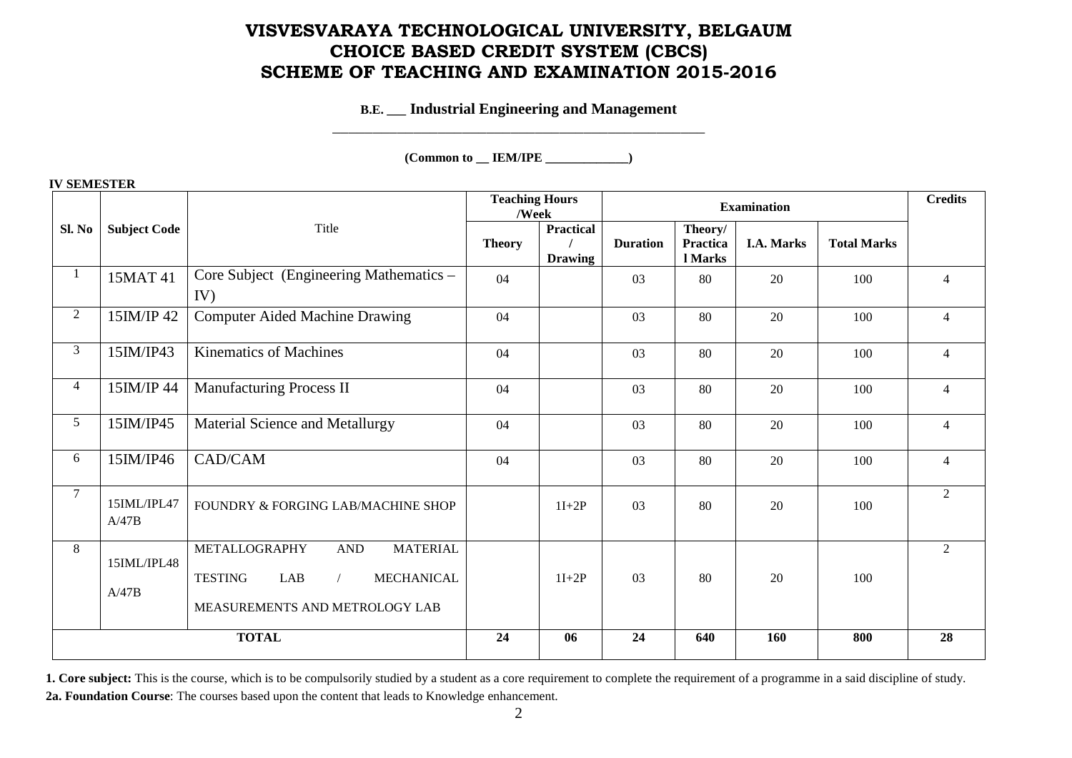### **VISVESVARAYA TECHNOLOGICAL UNIVERSITY, BELGAUM CHOICE BASED CREDIT SYSTEM (CBCS) SCHEME OF TEACHING AND EXAMINATION 2015-2016**

### **B.E. \_\_\_ Industrial Engineering and Management**

\_\_\_\_\_\_\_\_\_\_\_\_\_\_\_\_\_\_\_\_\_\_\_\_\_\_\_\_\_\_\_\_\_\_\_\_\_\_\_\_\_\_\_\_\_\_

### **(Common to \_\_ IEM/IPE \_\_\_\_\_\_\_\_\_\_\_\_\_)**

|                |                      |                                                                                                                                                        | <b>Teaching Hours</b><br>/Week |                                    | <b>Examination</b> |                                |                   |                    | <b>Credits</b> |
|----------------|----------------------|--------------------------------------------------------------------------------------------------------------------------------------------------------|--------------------------------|------------------------------------|--------------------|--------------------------------|-------------------|--------------------|----------------|
| Sl. No         | <b>Subject Code</b>  | Title                                                                                                                                                  | <b>Theory</b>                  | <b>Practical</b><br><b>Drawing</b> | <b>Duration</b>    | Theory/<br>Practica<br>l Marks | <b>I.A. Marks</b> | <b>Total Marks</b> |                |
| 1              | 15MAT 41             | Core Subject (Engineering Mathematics -<br>IV)                                                                                                         | 04                             |                                    | 03                 | 80                             | 20                | 100                | $\overline{4}$ |
| 2              | 15IM/IP 42           | <b>Computer Aided Machine Drawing</b>                                                                                                                  | 04                             |                                    | 03                 | 80                             | 20                | 100                | $\overline{4}$ |
| $\mathfrak{Z}$ | 15IM/IP43            | <b>Kinematics of Machines</b>                                                                                                                          | 04                             |                                    | 03                 | 80                             | 20                | 100                | $\overline{4}$ |
| $\overline{4}$ | 15IM/IP 44           | <b>Manufacturing Process II</b>                                                                                                                        | 04                             |                                    | 03                 | 80                             | 20                | 100                | $\overline{4}$ |
| 5 <sup>5</sup> | 15IM/IP45            | Material Science and Metallurgy                                                                                                                        | 04                             |                                    | 03                 | 80                             | 20                | 100                | $\overline{4}$ |
| 6              | 15IM/IP46            | CAD/CAM                                                                                                                                                | 04                             |                                    | 03                 | 80                             | 20                | 100                | $\overline{4}$ |
| $\overline{7}$ | 15IML/IPL47<br>A/47B | FOUNDRY & FORGING LAB/MACHINE SHOP                                                                                                                     |                                | $1I+2P$                            | 03                 | 80                             | 20                | 100                | $\mathfrak{D}$ |
| 8              | 15IML/IPL48<br>A/47B | METALLOGRAPHY<br><b>MATERIAL</b><br>$\operatorname{AND}$<br>LAB<br><b>TESTING</b><br><b>MECHANICAL</b><br>$\sqrt{2}$<br>MEASUREMENTS AND METROLOGY LAB |                                | $1I+2P$                            | 03                 | 80                             | 20                | 100                | 2              |
| <b>TOTAL</b>   |                      |                                                                                                                                                        | 24                             | 06                                 | 24                 | 640                            | 160               | 800                | 28             |

#### **IV SEMESTER**

**<sup>1.</sup> Core subject:** This is the course, which is to be compulsorily studied by a student as a core requirement to complete the requirement of a programme in a said discipline of study. **2a. Foundation Course**: The courses based upon the content that leads to Knowledge enhancement.